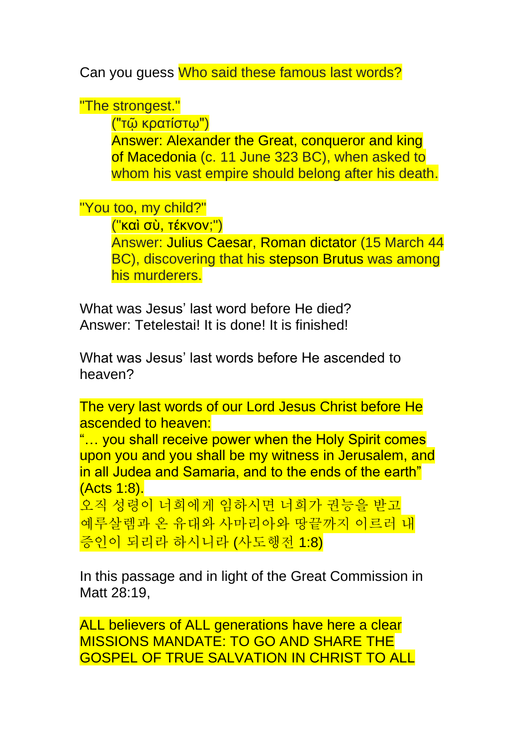Can you guess Who said these famous last words?

"The strongest."

("τῷ κρατίστῳ")

Answer: Alexander the Great, conqueror and king of Macedonia (c. 11 June 323 BC), when asked to whom his vast empire should belong after his death.

"You too, my child?"

("καὶ σὺ, τέκνον;")

Answer: Julius Caesar, Roman dictator (15 March 44 BC), discovering that his stepson Brutus was among his murderers.

What was Jesus' last word before He died? Answer: Tetelestai! It is done! It is finished!

What was Jesus' last words before He ascended to heaven?

The very last words of our Lord Jesus Christ before He ascended to heaven:

"… you shall receive power when the Holy Spirit comes upon you and you shall be my witness in Jerusalem, and in all Judea and Samaria, and to the ends of the earth" (Acts 1:8).

오직 성령이 너희에게 임하시면 너희가 권능을 받고 예루살렘과 온 유대와 사마리아와 땅끝까지 이르러 내 증인이 되리라 하시니라 (사도행전 1:8)

In this passage and in light of the Great Commission in Matt 28:19,

ALL believers of ALL generations have here a clear MISSIONS MANDATE: TO GO AND SHARE THE GOSPEL OF TRUE SALVATION IN CHRIST TO ALL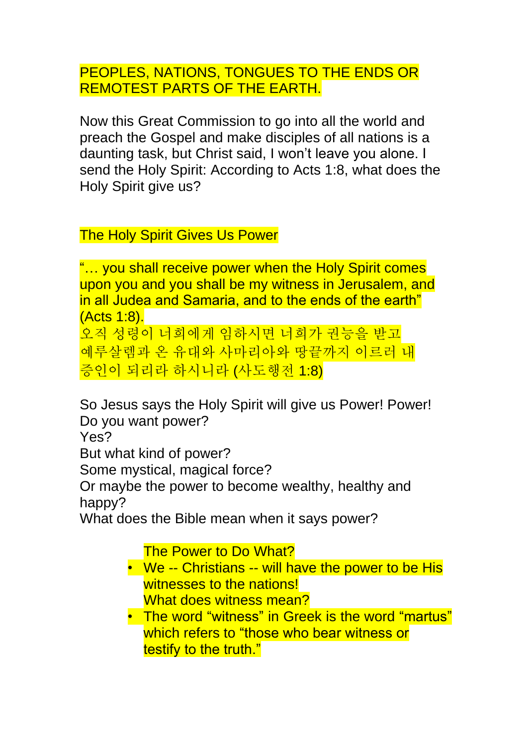PEOPLES, NATIONS, TONGUES TO THE ENDS OR REMOTEST PARTS OF THE EARTH.

Now this Great Commission to go into all the world and preach the Gospel and make disciples of all nations is a daunting task, but Christ said, I won't leave you alone. I send the Holy Spirit: According to Acts 1:8, what does the Holy Spirit give us?

The Holy Spirit Gives Us Power

"… you shall receive power when the Holy Spirit comes upon you and you shall be my witness in Jerusalem, and in all Judea and Samaria, and to the ends of the earth" (Acts 1:8).

오직 성령이 너희에게 임하시면 너희가 권능을 받고 예루살렘과 온 유대와 사마리아와 땅끝까지 이르러 내 증인이 되리라 하시니라 (사도행전 1:8)

So Jesus says the Holy Spirit will give us Power! Power! Do you want power? Yes?

But what kind of power?

Some mystical, magical force?

Or maybe the power to become wealthy, healthy and happy?

What does the Bible mean when it says power?

The Power to Do What?

- We -- Christians -- will have the power to be His witnesses to the nations! What does witness mean?
- The word "witness" in Greek is the word "martus" which refers to "those who bear witness or testify to the truth."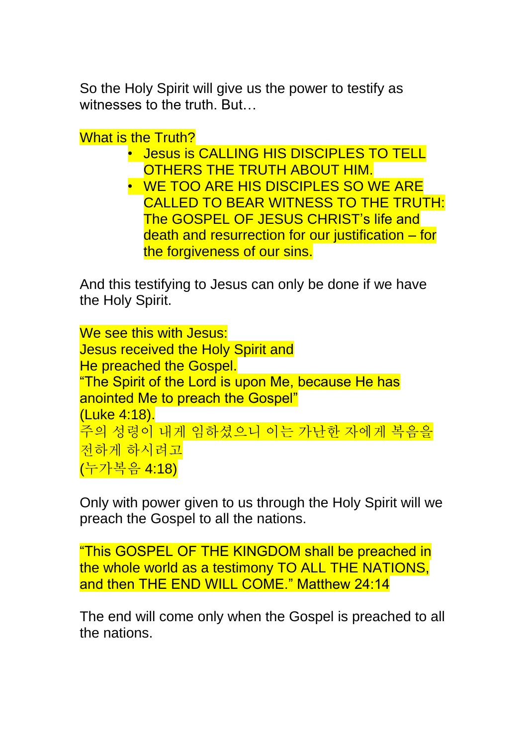So the Holy Spirit will give us the power to testify as witnesses to the truth. But…

What is the Truth?

• Jesus is CALLING HIS DISCIPLES TO TELL OTHERS THE TRUTH ABOUT HIM. • WE TOO ARE HIS DISCIPLES SO WE ARE CALLED TO BEAR WITNESS TO THE TRUTH: The GOSPEL OF JESUS CHRIST's life and death and resurrection for our justification – for the forgiveness of our sins.

And this testifying to Jesus can only be done if we have the Holy Spirit.

We see this with Jesus: Jesus received the Holy Spirit and He preached the Gospel. "The Spirit of the Lord is upon Me, because He has anointed Me to preach the Gospel" (Luke 4:18). 주의 성령이 내게 임하셨으니 이는 가난한 자에게 복음을 전하게 하시려고 (누가복음 4:18)

Only with power given to us through the Holy Spirit will we preach the Gospel to all the nations.

"This GOSPEL OF THE KINGDOM shall be preached in the whole world as a testimony TO ALL THE NATIONS, and then THE END WILL COME." Matthew 24:14

The end will come only when the Gospel is preached to all the nations.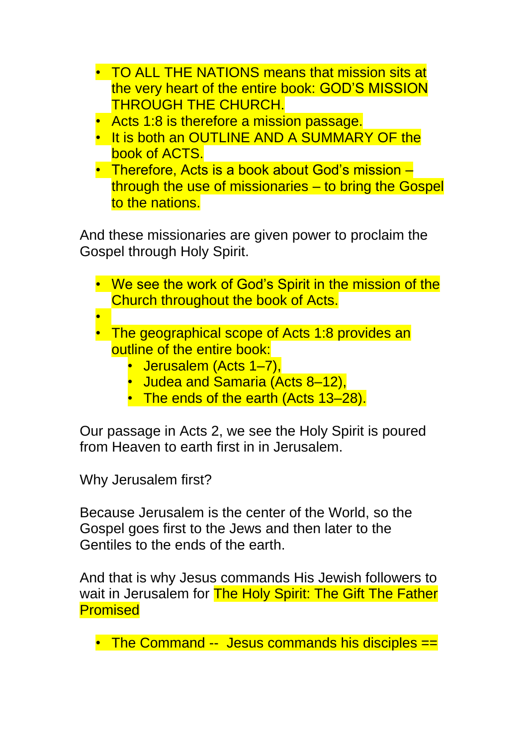- TO ALL THE NATIONS means that mission sits at the very heart of the entire book: GOD'S MISSION THROUGH THE CHURCH.
- Acts 1:8 is therefore a mission passage.
- It is both an OUTLINE AND A SUMMARY OF the book of ACTS.
- Therefore, Acts is a book about God's mission through the use of missionaries – to bring the Gospel to the nations.

And these missionaries are given power to proclaim the Gospel through Holy Spirit.

- We see the work of God's Spirit in the mission of the Church throughout the book of Acts.
- •
- The geographical scope of Acts 1:8 provides an outline of the entire book:
	- Jerusalem (Acts 1–7).
	- Judea and Samaria (Acts 8-12),
	- The ends of the earth (Acts 13–28).

Our passage in Acts 2, we see the Holy Spirit is poured from Heaven to earth first in in Jerusalem.

Why Jerusalem first?

Because Jerusalem is the center of the World, so the Gospel goes first to the Jews and then later to the Gentiles to the ends of the earth.

And that is why Jesus commands His Jewish followers to wait in Jerusalem for The Holy Spirit: The Gift The Father Promised

• The Command -- Jesus commands his disciples ==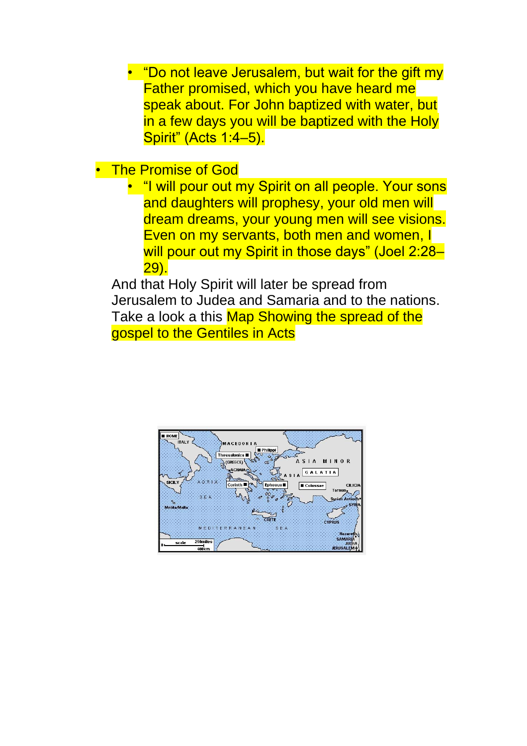• "Do not leave Jerusalem, but wait for the gift my Father promised, which you have heard me speak about. For John baptized with water, but in a few days you will be baptized with the Holy Spirit" (Acts 1:4–5).

- **The Promise of God** 
	- "I will pour out my Spirit on all people. Your sons and daughters will prophesy, your old men will dream dreams, your young men will see visions. Even on my servants, both men and women, I will pour out my Spirit in those days" (Joel 2:28-29).

And that Holy Spirit will later be spread from Jerusalem to Judea and Samaria and to the nations. Take a look a this Map Showing the spread of the gospel to the Gentiles in Acts

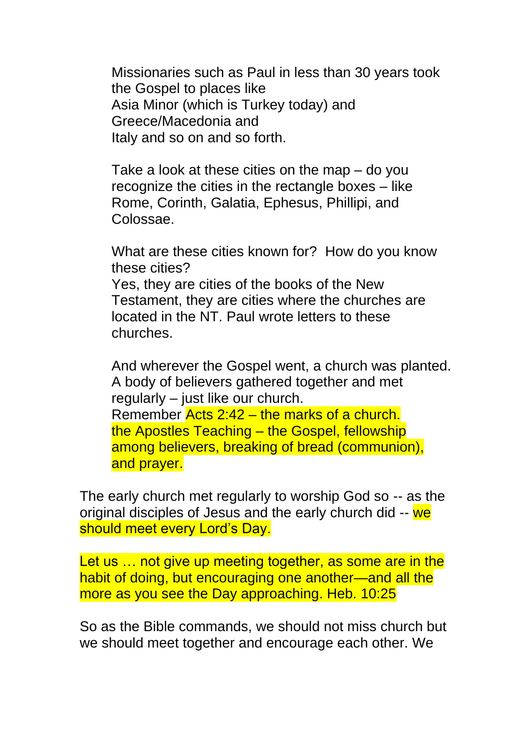Missionaries such as Paul in less than 30 years took the Gospel to places like Asia Minor (which is Turkey today) and Greece/Macedonia and Italy and so on and so forth.

Take a look at these cities on the map – do you recognize the cities in the rectangle boxes – like Rome, Corinth, Galatia, Ephesus, Phillipi, and Colossae.

What are these cities known for? How do you know these cities? Yes, they are cities of the books of the New Testament, they are cities where the churches are located in the NT. Paul wrote letters to these churches.

And wherever the Gospel went, a church was planted. A body of believers gathered together and met regularly – just like our church. Remember Acts 2:42 – the marks of a church. the Apostles Teaching – the Gospel, fellowship among believers, breaking of bread (communion), and prayer.

The early church met regularly to worship God so -- as the original disciples of Jesus and the early church did -- we should meet every Lord's Day.

Let us ... not give up meeting together, as some are in the habit of doing, but encouraging one another—and all the more as you see the Day approaching. Heb. 10:25

So as the Bible commands, we should not miss church but we should meet together and encourage each other. We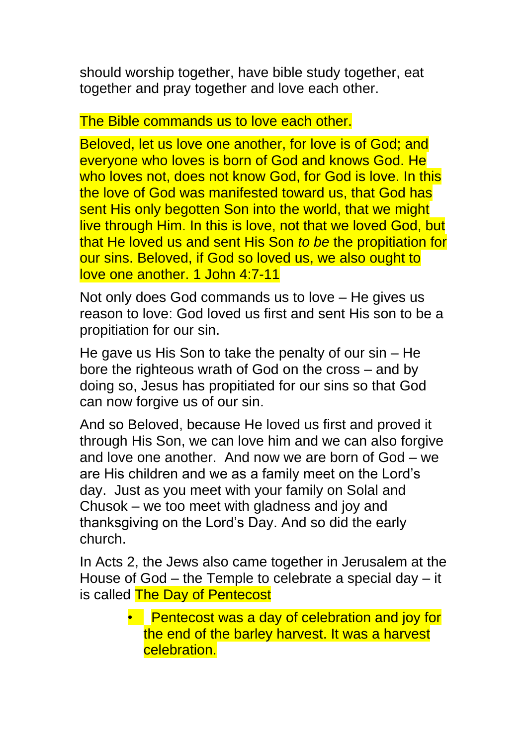should worship together, have bible study together, eat together and pray together and love each other.

## The Bible commands us to love each other.

Beloved, let us love one another, for love is of God; and everyone who loves is born of God and knows God. He who loves not, does not know God, for God is love. In this the love of God was manifested toward us, that God has sent His only begotten Son into the world, that we might live through Him. In this is love, not that we loved God, but that He loved us and sent His Son *to be* the propitiation for our sins. Beloved, if God so loved us, we also ought to love one another. 1 John 4:7-11

Not only does God commands us to love – He gives us reason to love: God loved us first and sent His son to be a propitiation for our sin.

He gave us His Son to take the penalty of our sin – He bore the righteous wrath of God on the cross – and by doing so, Jesus has propitiated for our sins so that God can now forgive us of our sin.

And so Beloved, because He loved us first and proved it through His Son, we can love him and we can also forgive and love one another. And now we are born of God – we are His children and we as a family meet on the Lord's day. Just as you meet with your family on Solal and Chusok – we too meet with gladness and joy and thanksgiving on the Lord's Day. And so did the early church.

In Acts 2, the Jews also came together in Jerusalem at the House of God – the Temple to celebrate a special day – it is called The Day of Pentecost

> • Pentecost was a day of celebration and joy for the end of the barley harvest. It was a harvest celebration.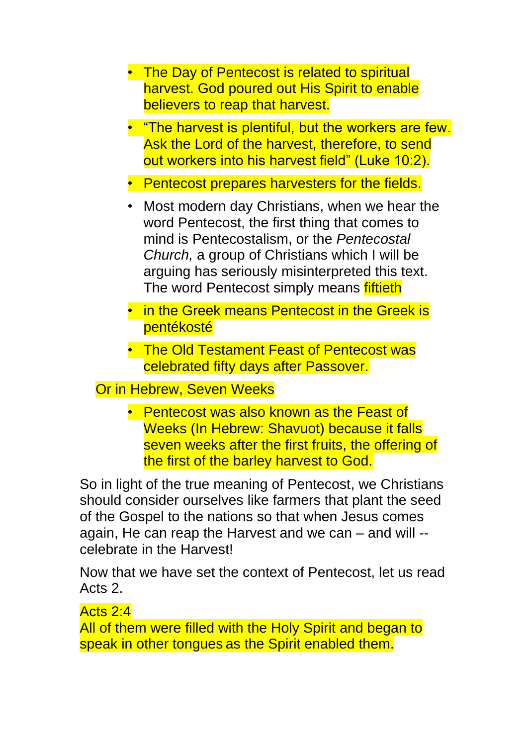- The Day of Pentecost is related to spiritual harvest. God poured out His Spirit to enable believers to reap that harvest.
- "The harvest is plentiful, but the workers are few. Ask the Lord of the harvest, therefore, to send out workers into his harvest field" (Luke 10:2).
- Pentecost prepares harvesters for the fields.
- Most modern day Christians, when we hear the word Pentecost, the first thing that comes to mind is Pentecostalism, or the *Pentecostal Church,* a group of Christians which I will be arguing has seriously misinterpreted this text. The word Pentecost simply means fiftieth
- in the Greek means Pentecost in the Greek is pentékosté
- The Old Testament Feast of Pentecost was celebrated fifty days after Passover.

## Or in Hebrew, Seven Weeks

• Pentecost was also known as the Feast of Weeks (In Hebrew: Shavuot) because it falls seven weeks after the first fruits, the offering of the first of the barley harvest to God.

So in light of the true meaning of Pentecost, we Christians should consider ourselves like farmers that plant the seed of the Gospel to the nations so that when Jesus comes again, He can reap the Harvest and we can – and will - celebrate in the Harvest!

Now that we have set the context of Pentecost, let us read Acts 2.

## Acts 2:4

All of them were filled with the Holy Spirit and began to speak in other tongues as the Spirit enabled them.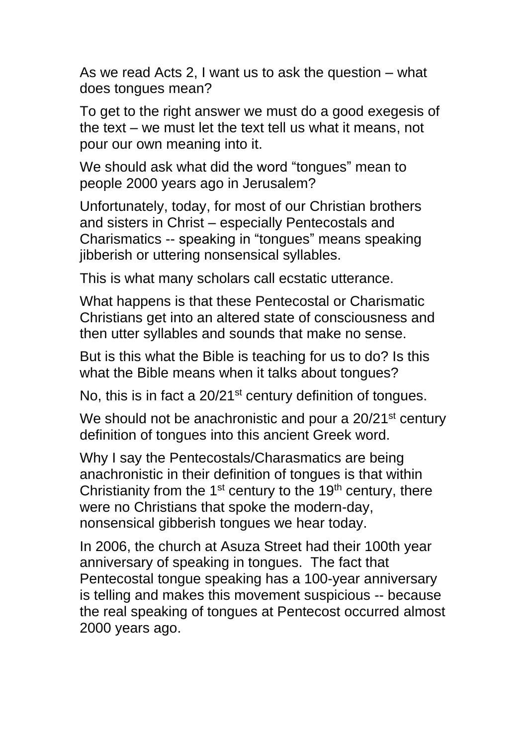As we read Acts 2, I want us to ask the question – what does tongues mean?

To get to the right answer we must do a good exegesis of the text – we must let the text tell us what it means, not pour our own meaning into it.

We should ask what did the word "tongues" mean to people 2000 years ago in Jerusalem?

Unfortunately, today, for most of our Christian brothers and sisters in Christ – especially Pentecostals and Charismatics -- speaking in "tongues" means speaking jibberish or uttering nonsensical syllables.

This is what many scholars call ecstatic utterance.

What happens is that these Pentecostal or Charismatic Christians get into an altered state of consciousness and then utter syllables and sounds that make no sense.

But is this what the Bible is teaching for us to do? Is this what the Bible means when it talks about tongues?

No, this is in fact a 20/21<sup>st</sup> century definition of tongues.

We should not be anachronistic and pour a 20/21<sup>st</sup> century definition of tongues into this ancient Greek word.

Why I say the Pentecostals/Charasmatics are being anachronistic in their definition of tongues is that within Christianity from the  $1<sup>st</sup>$  century to the  $1<sup>th</sup>$  century, there were no Christians that spoke the modern-day, nonsensical gibberish tongues we hear today.

In 2006, the church at Asuza Street had their 100th year anniversary of speaking in tongues. The fact that Pentecostal tongue speaking has a 100-year anniversary is telling and makes this movement suspicious -- because the real speaking of tongues at Pentecost occurred almost 2000 years ago.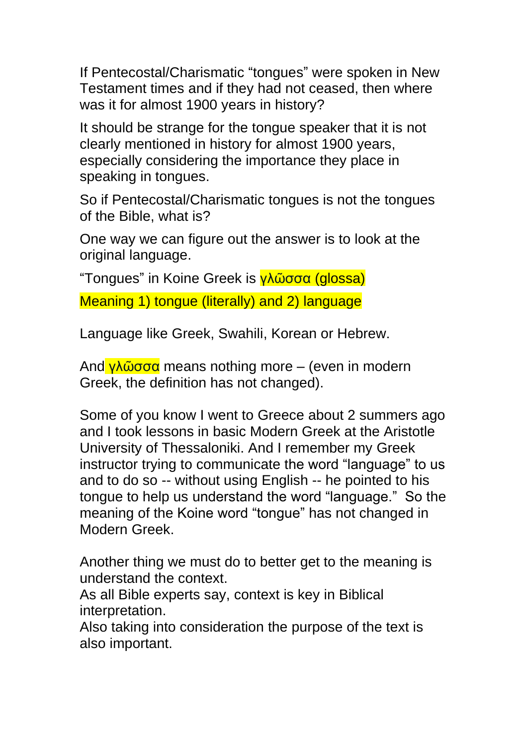If Pentecostal/Charismatic "tongues" were spoken in New Testament times and if they had not ceased, then where was it for almost 1900 years in history?

It should be strange for the tongue speaker that it is not clearly mentioned in history for almost 1900 years, especially considering the importance they place in speaking in tongues.

So if Pentecostal/Charismatic tongues is not the tongues of the Bible, what is?

One way we can figure out the answer is to look at the original language.

"Tongues" in Koine Greek is γλῶσσα (glossa)

Meaning 1) tongue (literally) and 2) language

Language like Greek, Swahili, Korean or Hebrew.

And γλῶσσα means nothing more – (even in modern Greek, the definition has not changed).

Some of you know I went to Greece about 2 summers ago and I took lessons in basic Modern Greek at the Aristotle University of Thessaloniki. And I remember my Greek instructor trying to communicate the word "language" to us and to do so -- without using English -- he pointed to his tongue to help us understand the word "language." So the meaning of the Koine word "tongue" has not changed in Modern Greek.

Another thing we must do to better get to the meaning is understand the context.

As all Bible experts say, context is key in Biblical interpretation.

Also taking into consideration the purpose of the text is also important.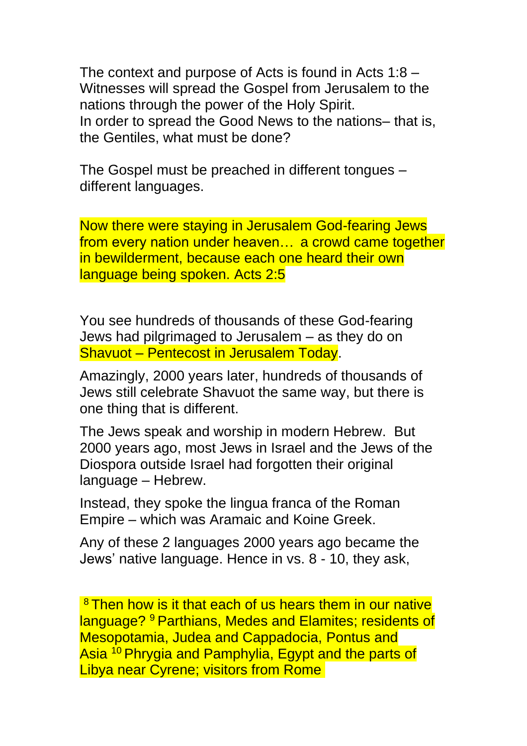The context and purpose of Acts is found in Acts 1:8 – Witnesses will spread the Gospel from Jerusalem to the nations through the power of the Holy Spirit. In order to spread the Good News to the nations– that is, the Gentiles, what must be done?

The Gospel must be preached in different tongues – different languages.

Now there were staying in Jerusalem God-fearing Jews from every nation under heaven… a crowd came together in bewilderment, because each one heard their own language being spoken. Acts 2:5

You see hundreds of thousands of these God-fearing Jews had pilgrimaged to Jerusalem – as they do on Shavuot – Pentecost in Jerusalem Today.

Amazingly, 2000 years later, hundreds of thousands of Jews still celebrate Shavuot the same way, but there is one thing that is different.

The Jews speak and worship in modern Hebrew. But 2000 years ago, most Jews in Israel and the Jews of the Diospora outside Israel had forgotten their original language – Hebrew.

Instead, they spoke the lingua franca of the Roman Empire – which was Aramaic and Koine Greek.

Any of these 2 languages 2000 years ago became the Jews' native language. Hence in vs. 8 - 10, they ask,

<sup>8</sup> Then how is it that each of us hears them in our native language? <sup>9</sup> Parthians, Medes and Elamites; residents of Mesopotamia, Judea and Cappadocia, Pontus and Asia <sup>10</sup> Phrygia and Pamphylia, Egypt and the parts of Libya near Cyrene; visitors from Rome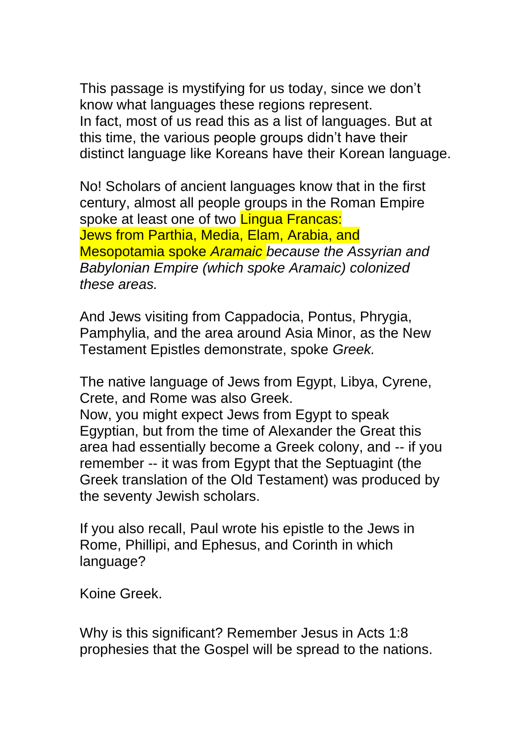This passage is mystifying for us today, since we don't know what languages these regions represent. In fact, most of us read this as a list of languages. But at this time, the various people groups didn't have their distinct language like Koreans have their Korean language.

No! Scholars of ancient languages know that in the first century, almost all people groups in the Roman Empire spoke at least one of two **Lingua Francas:** Jews from Parthia, Media, Elam, Arabia, and Mesopotamia spoke *Aramaic because the Assyrian and Babylonian Empire (which spoke Aramaic) colonized these areas.* 

And Jews visiting from Cappadocia, Pontus, Phrygia, Pamphylia, and the area around Asia Minor, as the New Testament Epistles demonstrate, spoke *Greek.* 

The native language of Jews from Egypt, Libya, Cyrene, Crete, and Rome was also Greek. Now, you might expect Jews from Egypt to speak

Egyptian, but from the time of Alexander the Great this area had essentially become a Greek colony, and -- if you remember -- it was from Egypt that the Septuagint (the Greek translation of the Old Testament) was produced by the seventy Jewish scholars.

If you also recall, Paul wrote his epistle to the Jews in Rome, Phillipi, and Ephesus, and Corinth in which language?

Koine Greek.

Why is this significant? Remember Jesus in Acts 1:8 prophesies that the Gospel will be spread to the nations.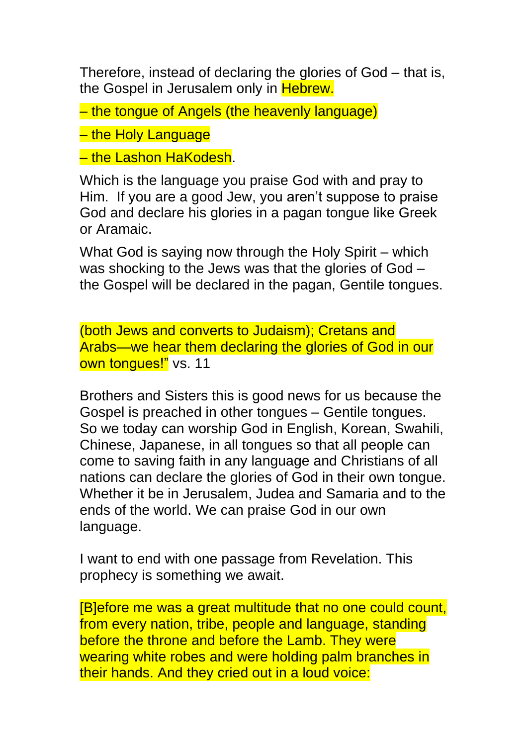Therefore, instead of declaring the glories of God – that is, the Gospel in Jerusalem only in Hebrew.

– the tongue of Angels (the heavenly language)

– the Holy Language

– the Lashon HaKodesh.

Which is the language you praise God with and pray to Him. If you are a good Jew, you aren't suppose to praise God and declare his glories in a pagan tongue like Greek or Aramaic.

What God is saying now through the Holy Spirit – which was shocking to the Jews was that the glories of God – the Gospel will be declared in the pagan, Gentile tongues.

(both Jews and converts to Judaism); Cretans and Arabs—we hear them declaring the glories of God in our own tonques!" vs. 11

Brothers and Sisters this is good news for us because the Gospel is preached in other tongues – Gentile tongues. So we today can worship God in English, Korean, Swahili, Chinese, Japanese, in all tongues so that all people can come to saving faith in any language and Christians of all nations can declare the glories of God in their own tongue. Whether it be in Jerusalem, Judea and Samaria and to the ends of the world. We can praise God in our own language.

I want to end with one passage from Revelation. This prophecy is something we await.

[B]efore me was a great multitude that no one could count, from every nation, tribe, people and language, standing before the throne and before the Lamb. They were wearing white robes and were holding palm branches in their hands. And they cried out in a loud voice: